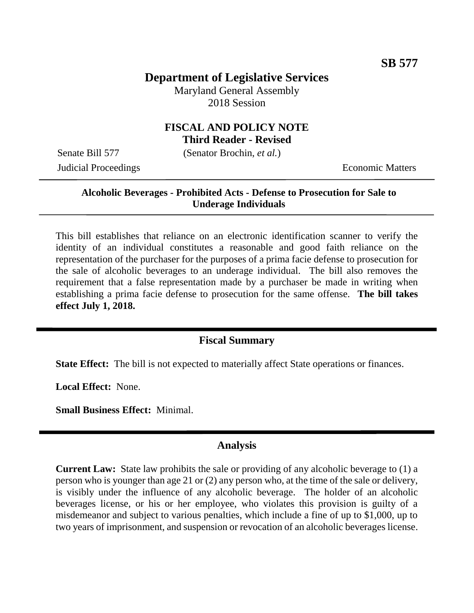# **Department of Legislative Services**

Maryland General Assembly 2018 Session

## **FISCAL AND POLICY NOTE Third Reader - Revised**

Senate Bill 577 (Senator Brochin, *et al.*)

**Judicial Proceedings** Economic Matters

## **Alcoholic Beverages - Prohibited Acts - Defense to Prosecution for Sale to Underage Individuals**

This bill establishes that reliance on an electronic identification scanner to verify the identity of an individual constitutes a reasonable and good faith reliance on the representation of the purchaser for the purposes of a prima facie defense to prosecution for the sale of alcoholic beverages to an underage individual. The bill also removes the requirement that a false representation made by a purchaser be made in writing when establishing a prima facie defense to prosecution for the same offense. **The bill takes effect July 1, 2018.** 

# **Fiscal Summary**

**State Effect:** The bill is not expected to materially affect State operations or finances.

**Local Effect:** None.

**Small Business Effect:** Minimal.

#### **Analysis**

**Current Law:** State law prohibits the sale or providing of any alcoholic beverage to (1) a person who is younger than age 21 or (2) any person who, at the time of the sale or delivery, is visibly under the influence of any alcoholic beverage. The holder of an alcoholic beverages license, or his or her employee, who violates this provision is guilty of a misdemeanor and subject to various penalties, which include a fine of up to \$1,000, up to two years of imprisonment, and suspension or revocation of an alcoholic beverages license.